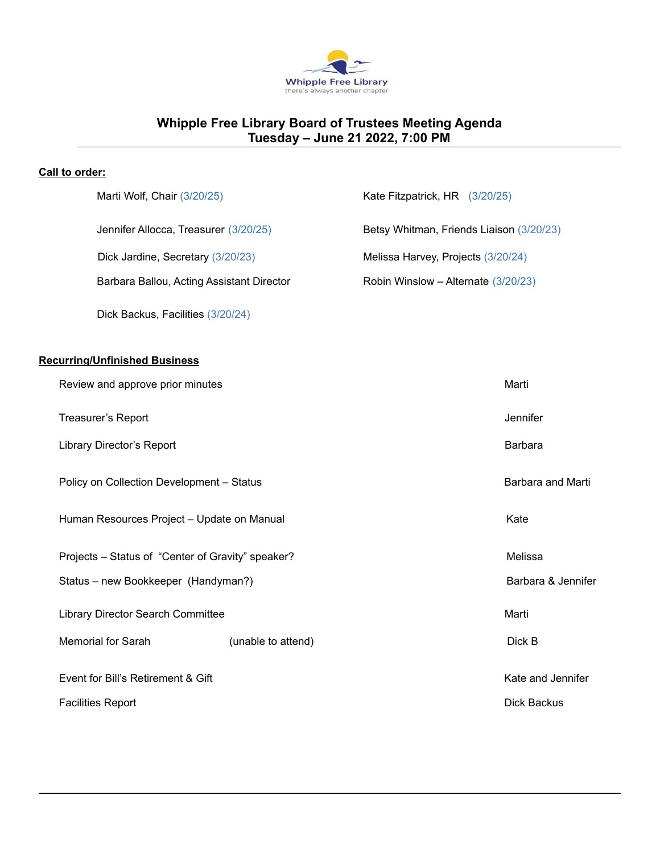

# **Whipple Free Library Board of Trustees Meeting Agenda Tuesday – June 21 2022, 7:00 PM**

## **Call to order:**

|                                                   | Marti Wolf, Chair (3/20/25)                |                    | Kate Fitzpatrick, HR (3/20/25)           |                    |
|---------------------------------------------------|--------------------------------------------|--------------------|------------------------------------------|--------------------|
|                                                   | Jennifer Allocca, Treasurer (3/20/25)      |                    | Betsy Whitman, Friends Liaison (3/20/23) |                    |
|                                                   | Dick Jardine, Secretary (3/20/23)          |                    | Melissa Harvey, Projects (3/20/24)       |                    |
|                                                   | Barbara Ballou, Acting Assistant Director  |                    | Robin Winslow - Alternate (3/20/23)      |                    |
|                                                   | Dick Backus, Facilities (3/20/24)          |                    |                                          |                    |
|                                                   |                                            |                    |                                          |                    |
| <b>Recurring/Unfinished Business</b>              |                                            |                    |                                          |                    |
|                                                   | Review and approve prior minutes           |                    |                                          | Marti              |
| Treasurer's Report                                |                                            |                    |                                          | Jennifer           |
| Library Director's Report                         |                                            |                    |                                          | Barbara            |
| Policy on Collection Development - Status         |                                            |                    |                                          | Barbara and Marti  |
|                                                   | Human Resources Project - Update on Manual |                    |                                          | Kate               |
| Projects - Status of "Center of Gravity" speaker? |                                            |                    |                                          | Melissa            |
| Status - new Bookkeeper (Handyman?)               |                                            |                    |                                          | Barbara & Jennifer |
| Library Director Search Committee                 |                                            |                    |                                          | Marti              |
|                                                   | Memorial for Sarah                         | (unable to attend) |                                          | Dick B             |
| Event for Bill's Retirement & Gift                |                                            |                    |                                          | Kate and Jennifer  |
|                                                   | <b>Facilities Report</b>                   |                    |                                          | <b>Dick Backus</b> |
|                                                   |                                            |                    |                                          |                    |